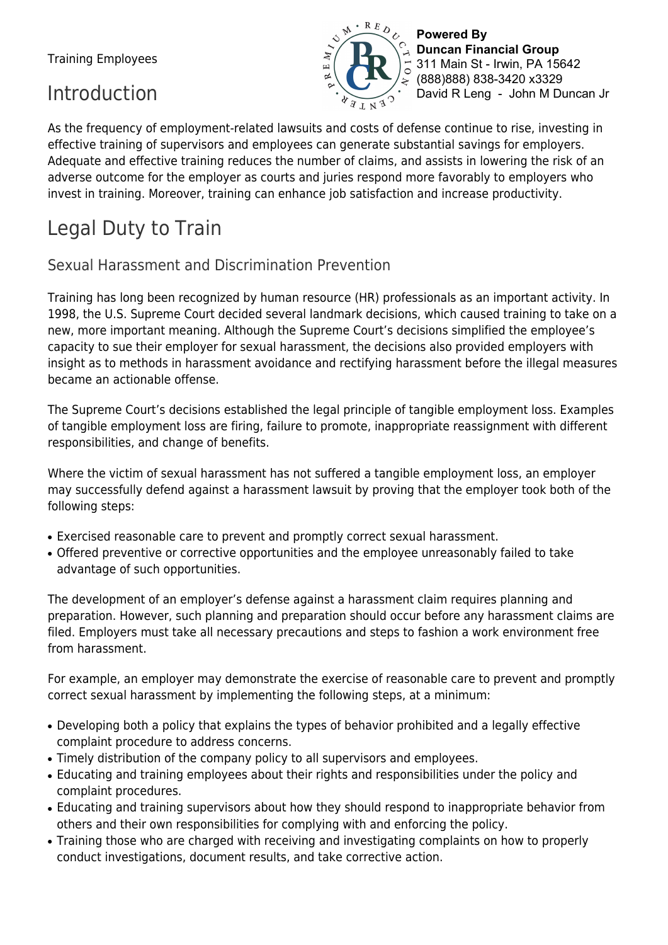#### Training Employees

## Introduction



**Powered By Duncan Financial Group** 311 Main St - Irwin, PA 15642 (888)888) 838-3420 x3329 David R Leng - John M Duncan Jr

As the frequency of employment-related lawsuits and costs of defense continue to rise, investing in effective training of supervisors and employees can generate substantial savings for employers. Adequate and effective training reduces the number of claims, and assists in lowering the risk of an adverse outcome for the employer as courts and juries respond more favorably to employers who invest in training. Moreover, training can enhance job satisfaction and increase productivity.

## Legal Duty to Train

## Sexual Harassment and Discrimination Prevention

Training has long been recognized by human resource (HR) professionals as an important activity. In 1998, the U.S. Supreme Court decided several landmark decisions, which caused training to take on a new, more important meaning. Although the Supreme Court's decisions simplified the employee's capacity to sue their employer for sexual harassment, the decisions also provided employers with insight as to methods in harassment avoidance and rectifying harassment before the illegal measures became an actionable offense.

The Supreme Court's decisions established the legal principle of tangible employment loss. Examples of tangible employment loss are firing, failure to promote, inappropriate reassignment with different responsibilities, and change of benefits.

Where the victim of sexual harassment has not suffered a tangible employment loss, an employer may successfully defend against a harassment lawsuit by proving that the employer took both of the following steps:

- Exercised reasonable care to prevent and promptly correct sexual harassment.
- Offered preventive or corrective opportunities and the employee unreasonably failed to take advantage of such opportunities.

The development of an employer's defense against a harassment claim requires planning and preparation. However, such planning and preparation should occur before any harassment claims are filed. Employers must take all necessary precautions and steps to fashion a work environment free from harassment.

For example, an employer may demonstrate the exercise of reasonable care to prevent and promptly correct sexual harassment by implementing the following steps, at a minimum:

- Developing both a policy that explains the types of behavior prohibited and a legally effective complaint procedure to address concerns.
- Timely distribution of the company policy to all supervisors and employees.
- Educating and training employees about their rights and responsibilities under the policy and complaint procedures.
- Educating and training supervisors about how they should respond to inappropriate behavior from others and their own responsibilities for complying with and enforcing the policy.
- Training those who are charged with receiving and investigating complaints on how to properly conduct investigations, document results, and take corrective action.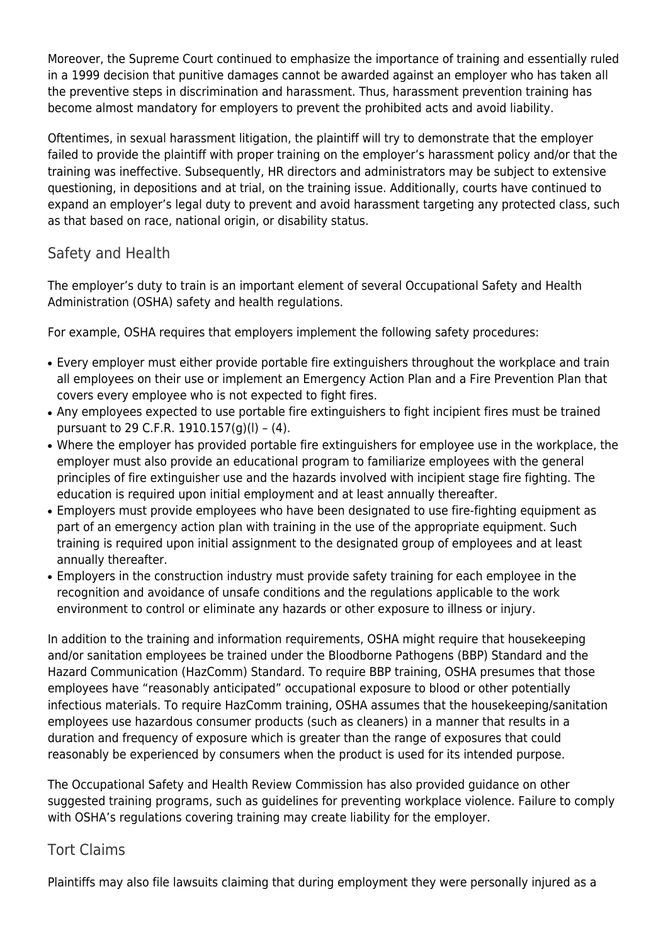Moreover, the Supreme Court continued to emphasize the importance of training and essentially ruled in a 1999 decision that punitive damages cannot be awarded against an employer who has taken all the preventive steps in discrimination and harassment. Thus, harassment prevention training has become almost mandatory for employers to prevent the prohibited acts and avoid liability.

Oftentimes, in sexual harassment litigation, the plaintiff will try to demonstrate that the employer failed to provide the plaintiff with proper training on the employer's harassment policy and/or that the training was ineffective. Subsequently, HR directors and administrators may be subject to extensive questioning, in depositions and at trial, on the training issue. Additionally, courts have continued to expand an employer's legal duty to prevent and avoid harassment targeting any protected class, such as that based on race, national origin, or disability status.

#### Safety and Health

The employer's duty to train is an important element of several Occupational Safety and Health Administration (OSHA) safety and health regulations.

For example, OSHA requires that employers implement the following safety procedures:

- Every employer must either provide portable fire extinguishers throughout the workplace and train all employees on their use or implement an Emergency Action Plan and a Fire Prevention Plan that covers every employee who is not expected to fight fires.
- Any employees expected to use portable fire extinguishers to fight incipient fires must be trained pursuant to 29 C.F.R. 1910.157(g)(l) – (4).
- Where the employer has provided portable fire extinguishers for employee use in the workplace, the employer must also provide an educational program to familiarize employees with the general principles of fire extinguisher use and the hazards involved with incipient stage fire fighting. The education is required upon initial employment and at least annually thereafter.
- Employers must provide employees who have been designated to use fire-fighting equipment as part of an emergency action plan with training in the use of the appropriate equipment. Such training is required upon initial assignment to the designated group of employees and at least annually thereafter.
- Employers in the construction industry must provide safety training for each employee in the recognition and avoidance of unsafe conditions and the regulations applicable to the work environment to control or eliminate any hazards or other exposure to illness or injury.

In addition to the training and information requirements, OSHA might require that housekeeping and/or sanitation employees be trained under the Bloodborne Pathogens (BBP) Standard and the Hazard Communication (HazComm) Standard. To require BBP training, OSHA presumes that those employees have "reasonably anticipated" occupational exposure to blood or other potentially infectious materials. To require HazComm training, OSHA assumes that the housekeeping/sanitation employees use hazardous consumer products (such as cleaners) in a manner that results in a duration and frequency of exposure which is greater than the range of exposures that could reasonably be experienced by consumers when the product is used for its intended purpose.

The Occupational Safety and Health Review Commission has also provided guidance on other suggested training programs, such as guidelines for preventing workplace violence. Failure to comply with OSHA's regulations covering training may create liability for the employer.

#### Tort Claims

Plaintiffs may also file lawsuits claiming that during employment they were personally injured as a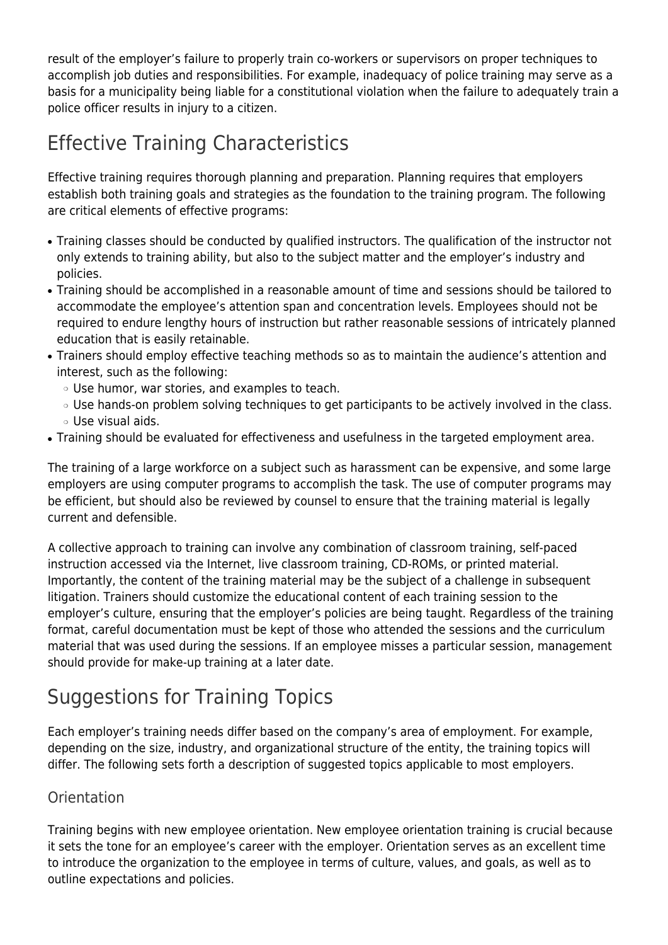result of the employer's failure to properly train co-workers or supervisors on proper techniques to accomplish job duties and responsibilities. For example, inadequacy of police training may serve as a basis for a municipality being liable for a constitutional violation when the failure to adequately train a police officer results in injury to a citizen.

## Effective Training Characteristics

Effective training requires thorough planning and preparation. Planning requires that employers establish both training goals and strategies as the foundation to the training program. The following are critical elements of effective programs:

- Training classes should be conducted by qualified instructors. The qualification of the instructor not only extends to training ability, but also to the subject matter and the employer's industry and policies.
- Training should be accomplished in a reasonable amount of time and sessions should be tailored to accommodate the employee's attention span and concentration levels. Employees should not be required to endure lengthy hours of instruction but rather reasonable sessions of intricately planned education that is easily retainable.
- Trainers should employ effective teaching methods so as to maintain the audience's attention and interest, such as the following:
	- ❍ Use humor, war stories, and examples to teach.
	- ❍ Use hands-on problem solving techniques to get participants to be actively involved in the class.
	- ❍ Use visual aids.
- Training should be evaluated for effectiveness and usefulness in the targeted employment area.

The training of a large workforce on a subject such as harassment can be expensive, and some large employers are using computer programs to accomplish the task. The use of computer programs may be efficient, but should also be reviewed by counsel to ensure that the training material is legally current and defensible.

A collective approach to training can involve any combination of classroom training, self-paced instruction accessed via the Internet, live classroom training, CD-ROMs, or printed material. Importantly, the content of the training material may be the subject of a challenge in subsequent litigation. Trainers should customize the educational content of each training session to the employer's culture, ensuring that the employer's policies are being taught. Regardless of the training format, careful documentation must be kept of those who attended the sessions and the curriculum material that was used during the sessions. If an employee misses a particular session, management should provide for make-up training at a later date.

# Suggestions for Training Topics

Each employer's training needs differ based on the company's area of employment. For example, depending on the size, industry, and organizational structure of the entity, the training topics will differ. The following sets forth a description of suggested topics applicable to most employers.

### **Orientation**

Training begins with new employee orientation. New employee orientation training is crucial because it sets the tone for an employee's career with the employer. Orientation serves as an excellent time to introduce the organization to the employee in terms of culture, values, and goals, as well as to outline expectations and policies.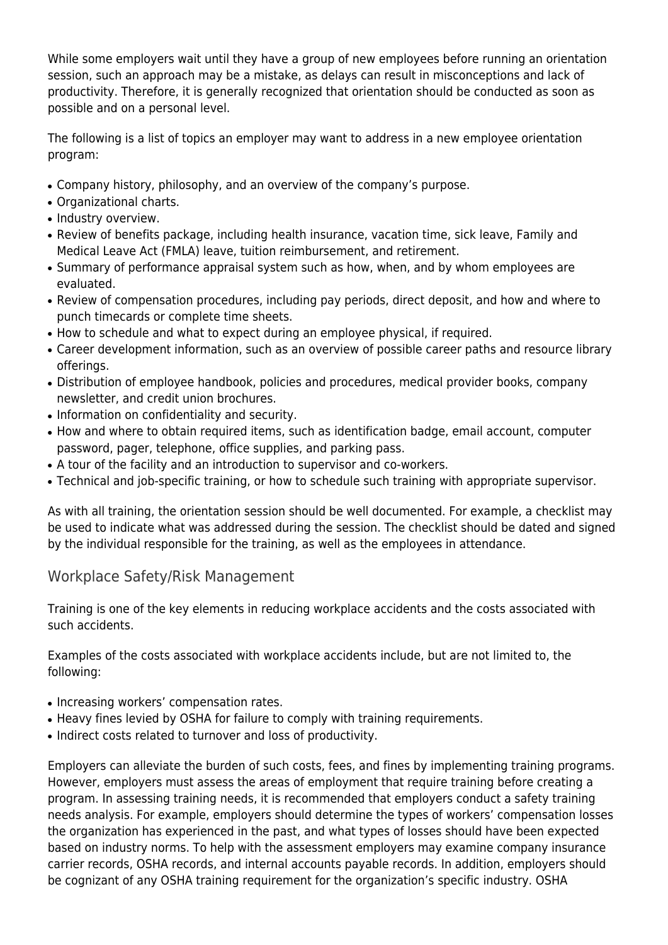While some employers wait until they have a group of new employees before running an orientation session, such an approach may be a mistake, as delays can result in misconceptions and lack of productivity. Therefore, it is generally recognized that orientation should be conducted as soon as possible and on a personal level.

The following is a list of topics an employer may want to address in a new employee orientation program:

- Company history, philosophy, and an overview of the company's purpose.
- Organizational charts.
- Industry overview.
- Review of benefits package, including health insurance, vacation time, sick leave, Family and Medical Leave Act (FMLA) leave, tuition reimbursement, and retirement.
- Summary of performance appraisal system such as how, when, and by whom employees are evaluated.
- Review of compensation procedures, including pay periods, direct deposit, and how and where to punch timecards or complete time sheets.
- How to schedule and what to expect during an employee physical, if required.
- Career development information, such as an overview of possible career paths and resource library offerings.
- Distribution of employee handbook, policies and procedures, medical provider books, company newsletter, and credit union brochures.
- Information on confidentiality and security.
- How and where to obtain required items, such as identification badge, email account, computer password, pager, telephone, office supplies, and parking pass.
- A tour of the facility and an introduction to supervisor and co-workers.
- Technical and job-specific training, or how to schedule such training with appropriate supervisor.

As with all training, the orientation session should be well documented. For example, a checklist may be used to indicate what was addressed during the session. The checklist should be dated and signed by the individual responsible for the training, as well as the employees in attendance.

### Workplace Safety/Risk Management

Training is one of the key elements in reducing workplace accidents and the costs associated with such accidents.

Examples of the costs associated with workplace accidents include, but are not limited to, the following:

- Increasing workers' compensation rates.
- Heavy fines levied by OSHA for failure to comply with training requirements.
- Indirect costs related to turnover and loss of productivity.

Employers can alleviate the burden of such costs, fees, and fines by implementing training programs. However, employers must assess the areas of employment that require training before creating a program. In assessing training needs, it is recommended that employers conduct a safety training needs analysis. For example, employers should determine the types of workers' compensation losses the organization has experienced in the past, and what types of losses should have been expected based on industry norms. To help with the assessment employers may examine company insurance carrier records, OSHA records, and internal accounts payable records. In addition, employers should be cognizant of any OSHA training requirement for the organization's specific industry. OSHA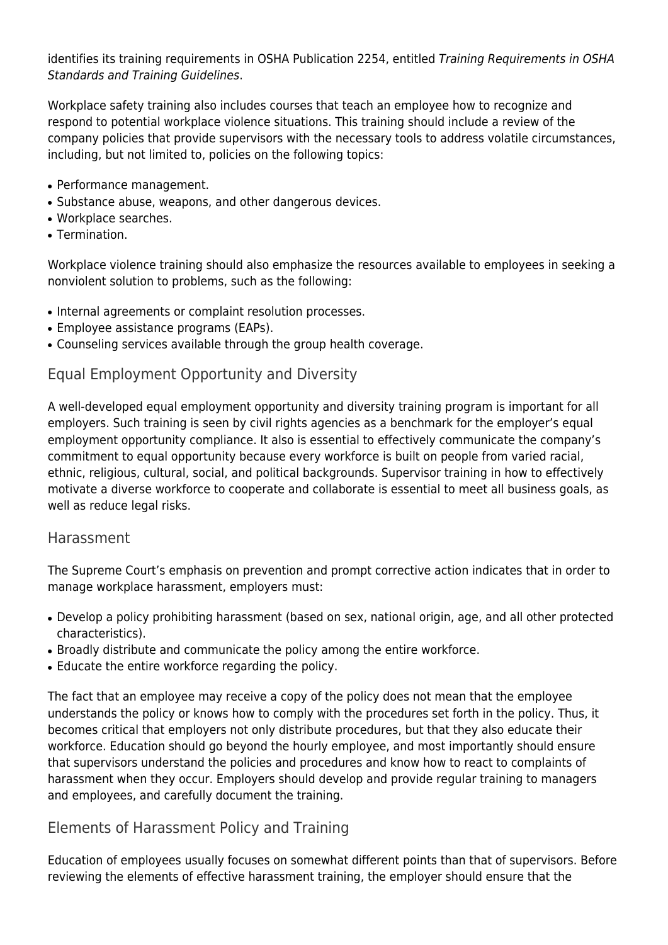identifies its training requirements in OSHA Publication 2254, entitled Training Requirements in OSHA Standards and Training Guidelines.

Workplace safety training also includes courses that teach an employee how to recognize and respond to potential workplace violence situations. This training should include a review of the company policies that provide supervisors with the necessary tools to address volatile circumstances, including, but not limited to, policies on the following topics:

- Performance management.
- Substance abuse, weapons, and other dangerous devices.
- Workplace searches.
- Termination.

Workplace violence training should also emphasize the resources available to employees in seeking a nonviolent solution to problems, such as the following:

- Internal agreements or complaint resolution processes.
- Employee assistance programs (EAPs).
- Counseling services available through the group health coverage.

#### Equal Employment Opportunity and Diversity

A well-developed equal employment opportunity and diversity training program is important for all employers. Such training is seen by civil rights agencies as a benchmark for the employer's equal employment opportunity compliance. It also is essential to effectively communicate the company's commitment to equal opportunity because every workforce is built on people from varied racial, ethnic, religious, cultural, social, and political backgrounds. Supervisor training in how to effectively motivate a diverse workforce to cooperate and collaborate is essential to meet all business goals, as well as reduce legal risks.

#### Harassment

The Supreme Court's emphasis on prevention and prompt corrective action indicates that in order to manage workplace harassment, employers must:

- Develop a policy prohibiting harassment (based on sex, national origin, age, and all other protected characteristics).
- Broadly distribute and communicate the policy among the entire workforce.
- Educate the entire workforce regarding the policy.

The fact that an employee may receive a copy of the policy does not mean that the employee understands the policy or knows how to comply with the procedures set forth in the policy. Thus, it becomes critical that employers not only distribute procedures, but that they also educate their workforce. Education should go beyond the hourly employee, and most importantly should ensure that supervisors understand the policies and procedures and know how to react to complaints of harassment when they occur. Employers should develop and provide regular training to managers and employees, and carefully document the training.

#### Elements of Harassment Policy and Training

Education of employees usually focuses on somewhat different points than that of supervisors. Before reviewing the elements of effective harassment training, the employer should ensure that the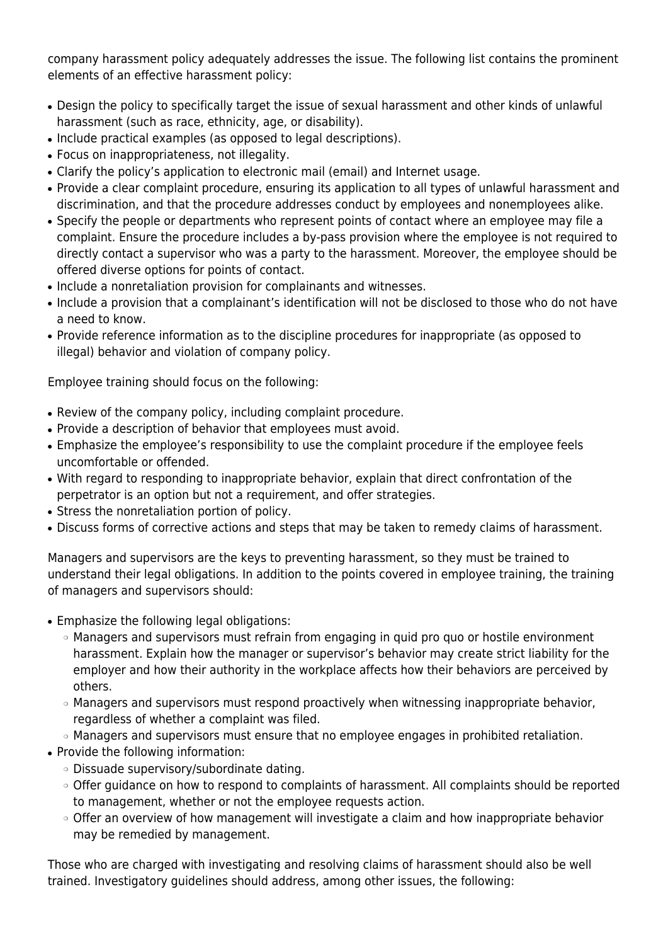company harassment policy adequately addresses the issue. The following list contains the prominent elements of an effective harassment policy:

- Design the policy to specifically target the issue of sexual harassment and other kinds of unlawful harassment (such as race, ethnicity, age, or disability).
- Include practical examples (as opposed to legal descriptions).
- Focus on inappropriateness, not illegality.
- Clarify the policy's application to electronic mail (email) and Internet usage.
- Provide a clear complaint procedure, ensuring its application to all types of unlawful harassment and discrimination, and that the procedure addresses conduct by employees and nonemployees alike.
- Specify the people or departments who represent points of contact where an employee may file a complaint. Ensure the procedure includes a by-pass provision where the employee is not required to directly contact a supervisor who was a party to the harassment. Moreover, the employee should be offered diverse options for points of contact.
- Include a nonretaliation provision for complainants and witnesses.
- Include a provision that a complainant's identification will not be disclosed to those who do not have a need to know.
- Provide reference information as to the discipline procedures for inappropriate (as opposed to illegal) behavior and violation of company policy.

Employee training should focus on the following:

- Review of the company policy, including complaint procedure.
- Provide a description of behavior that employees must avoid.
- Emphasize the employee's responsibility to use the complaint procedure if the employee feels uncomfortable or offended.
- With regard to responding to inappropriate behavior, explain that direct confrontation of the perpetrator is an option but not a requirement, and offer strategies.
- Stress the nonretaliation portion of policy.
- Discuss forms of corrective actions and steps that may be taken to remedy claims of harassment.

Managers and supervisors are the keys to preventing harassment, so they must be trained to understand their legal obligations. In addition to the points covered in employee training, the training of managers and supervisors should:

- Emphasize the following legal obligations:
	- ❍ Managers and supervisors must refrain from engaging in quid pro quo or hostile environment harassment. Explain how the manager or supervisor's behavior may create strict liability for the employer and how their authority in the workplace affects how their behaviors are perceived by others.
	- ❍ Managers and supervisors must respond proactively when witnessing inappropriate behavior, regardless of whether a complaint was filed.
	- ❍ Managers and supervisors must ensure that no employee engages in prohibited retaliation.
- Provide the following information:
	- ❍ Dissuade supervisory/subordinate dating.
	- ❍ Offer guidance on how to respond to complaints of harassment. All complaints should be reported to management, whether or not the employee requests action.
	- ❍ Offer an overview of how management will investigate a claim and how inappropriate behavior may be remedied by management.

Those who are charged with investigating and resolving claims of harassment should also be well trained. Investigatory guidelines should address, among other issues, the following: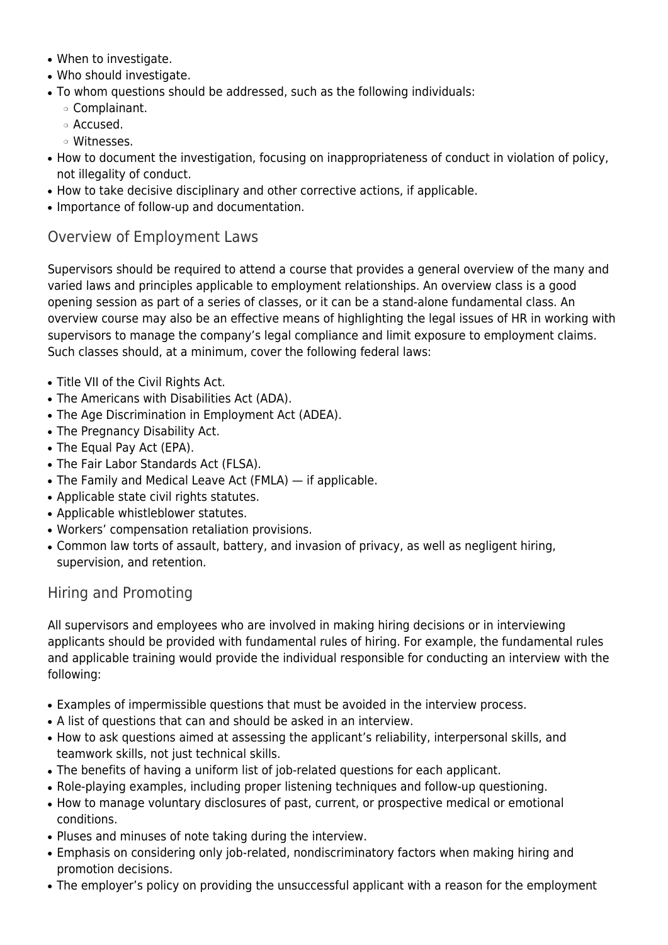- When to investigate.
- Who should investigate.
- To whom questions should be addressed, such as the following individuals:
	- ❍ Complainant.
	- ❍ Accused.
	- ❍ Witnesses.
- How to document the investigation, focusing on inappropriateness of conduct in violation of policy, not illegality of conduct.
- How to take decisive disciplinary and other corrective actions, if applicable.
- Importance of follow-up and documentation.

### Overview of Employment Laws

Supervisors should be required to attend a course that provides a general overview of the many and varied laws and principles applicable to employment relationships. An overview class is a good opening session as part of a series of classes, or it can be a stand-alone fundamental class. An overview course may also be an effective means of highlighting the legal issues of HR in working with supervisors to manage the company's legal compliance and limit exposure to employment claims. Such classes should, at a minimum, cover the following federal laws:

- Title VII of the Civil Rights Act.
- The Americans with Disabilities Act (ADA).
- The Age Discrimination in Employment Act (ADEA).
- The Pregnancy Disability Act.
- The Equal Pay Act (EPA).
- The Fair Labor Standards Act (FLSA).
- $\bullet$  The Family and Medical Leave Act (FMLA) if applicable.
- Applicable state civil rights statutes.
- Applicable whistleblower statutes.
- Workers' compensation retaliation provisions.
- Common law torts of assault, battery, and invasion of privacy, as well as negligent hiring, supervision, and retention.

### Hiring and Promoting

All supervisors and employees who are involved in making hiring decisions or in interviewing applicants should be provided with fundamental rules of hiring. For example, the fundamental rules and applicable training would provide the individual responsible for conducting an interview with the following:

- Examples of impermissible questions that must be avoided in the interview process.
- A list of questions that can and should be asked in an interview.
- How to ask questions aimed at assessing the applicant's reliability, interpersonal skills, and teamwork skills, not just technical skills.
- The benefits of having a uniform list of job-related questions for each applicant.
- Role-playing examples, including proper listening techniques and follow-up questioning.
- How to manage voluntary disclosures of past, current, or prospective medical or emotional conditions.
- Pluses and minuses of note taking during the interview.
- Emphasis on considering only job-related, nondiscriminatory factors when making hiring and promotion decisions.
- The employer's policy on providing the unsuccessful applicant with a reason for the employment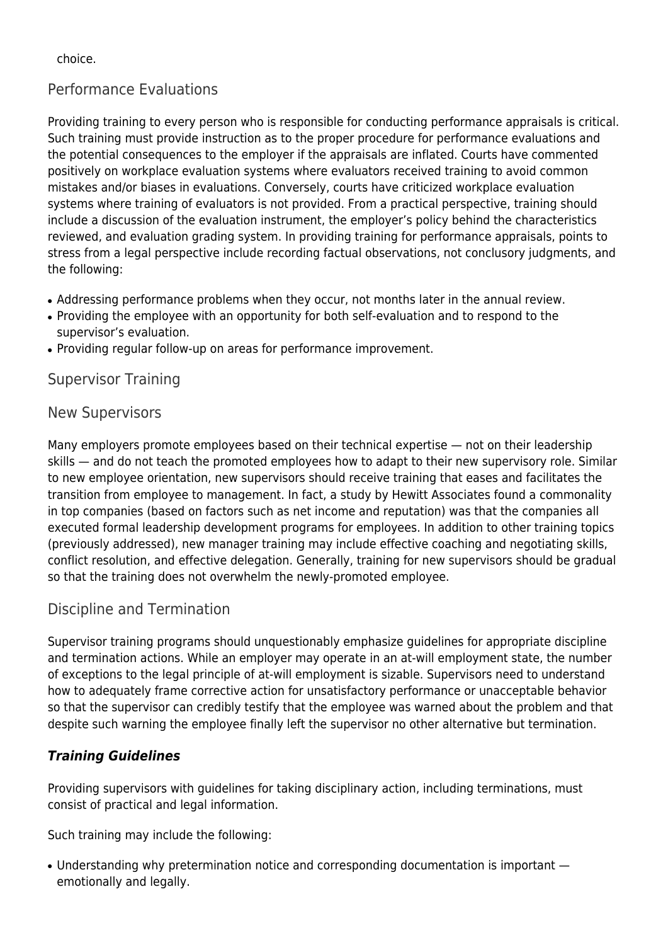choice.

## Performance Evaluations

Providing training to every person who is responsible for conducting performance appraisals is critical. Such training must provide instruction as to the proper procedure for performance evaluations and the potential consequences to the employer if the appraisals are inflated. Courts have commented positively on workplace evaluation systems where evaluators received training to avoid common mistakes and/or biases in evaluations. Conversely, courts have criticized workplace evaluation systems where training of evaluators is not provided. From a practical perspective, training should include a discussion of the evaluation instrument, the employer's policy behind the characteristics reviewed, and evaluation grading system. In providing training for performance appraisals, points to stress from a legal perspective include recording factual observations, not conclusory judgments, and the following:

- Addressing performance problems when they occur, not months later in the annual review.
- Providing the employee with an opportunity for both self-evaluation and to respond to the supervisor's evaluation.
- Providing regular follow-up on areas for performance improvement.

### Supervisor Training

#### New Supervisors

Many employers promote employees based on their technical expertise — not on their leadership skills — and do not teach the promoted employees how to adapt to their new supervisory role. Similar to new employee orientation, new supervisors should receive training that eases and facilitates the transition from employee to management. In fact, a study by Hewitt Associates found a commonality in top companies (based on factors such as net income and reputation) was that the companies all executed formal leadership development programs for employees. In addition to other training topics (previously addressed), new manager training may include effective coaching and negotiating skills, conflict resolution, and effective delegation. Generally, training for new supervisors should be gradual so that the training does not overwhelm the newly-promoted employee.

### Discipline and Termination

Supervisor training programs should unquestionably emphasize guidelines for appropriate discipline and termination actions. While an employer may operate in an at-will employment state, the number of exceptions to the legal principle of at-will employment is sizable. Supervisors need to understand how to adequately frame corrective action for unsatisfactory performance or unacceptable behavior so that the supervisor can credibly testify that the employee was warned about the problem and that despite such warning the employee finally left the supervisor no other alternative but termination.

### *Training Guidelines*

Providing supervisors with guidelines for taking disciplinary action, including terminations, must consist of practical and legal information.

Such training may include the following:

• Understanding why pretermination notice and corresponding documentation is important emotionally and legally.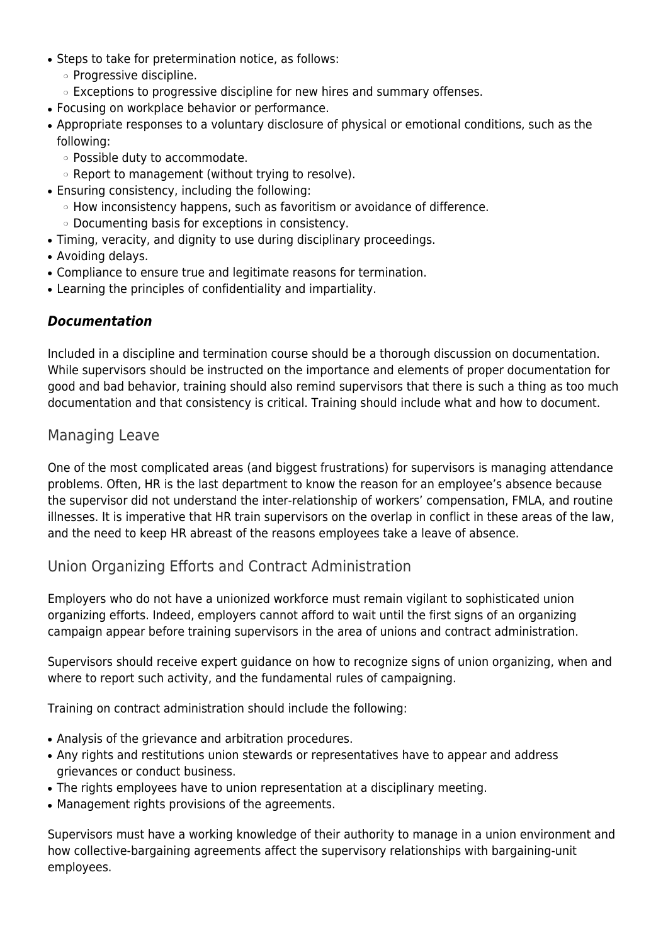- Steps to take for pretermination notice, as follows:
	- ❍ Progressive discipline.
	- ❍ Exceptions to progressive discipline for new hires and summary offenses.
- Focusing on workplace behavior or performance.
- Appropriate responses to a voluntary disclosure of physical or emotional conditions, such as the following:
	- ❍ Possible duty to accommodate.
	- ❍ Report to management (without trying to resolve).
- Ensuring consistency, including the following:
	- ❍ How inconsistency happens, such as favoritism or avoidance of difference.
	- ❍ Documenting basis for exceptions in consistency.
- Timing, veracity, and dignity to use during disciplinary proceedings.
- Avoiding delays.
- Compliance to ensure true and legitimate reasons for termination.
- Learning the principles of confidentiality and impartiality.

#### *Documentation*

Included in a discipline and termination course should be a thorough discussion on documentation. While supervisors should be instructed on the importance and elements of proper documentation for good and bad behavior, training should also remind supervisors that there is such a thing as too much documentation and that consistency is critical. Training should include what and how to document.

#### Managing Leave

One of the most complicated areas (and biggest frustrations) for supervisors is managing attendance problems. Often, HR is the last department to know the reason for an employee's absence because the supervisor did not understand the inter-relationship of workers' compensation, FMLA, and routine illnesses. It is imperative that HR train supervisors on the overlap in conflict in these areas of the law, and the need to keep HR abreast of the reasons employees take a leave of absence.

### Union Organizing Efforts and Contract Administration

Employers who do not have a unionized workforce must remain vigilant to sophisticated union organizing efforts. Indeed, employers cannot afford to wait until the first signs of an organizing campaign appear before training supervisors in the area of unions and contract administration.

Supervisors should receive expert guidance on how to recognize signs of union organizing, when and where to report such activity, and the fundamental rules of campaigning.

Training on contract administration should include the following:

- Analysis of the grievance and arbitration procedures.
- Any rights and restitutions union stewards or representatives have to appear and address grievances or conduct business.
- The rights employees have to union representation at a disciplinary meeting.
- Management rights provisions of the agreements.

Supervisors must have a working knowledge of their authority to manage in a union environment and how collective-bargaining agreements affect the supervisory relationships with bargaining-unit employees.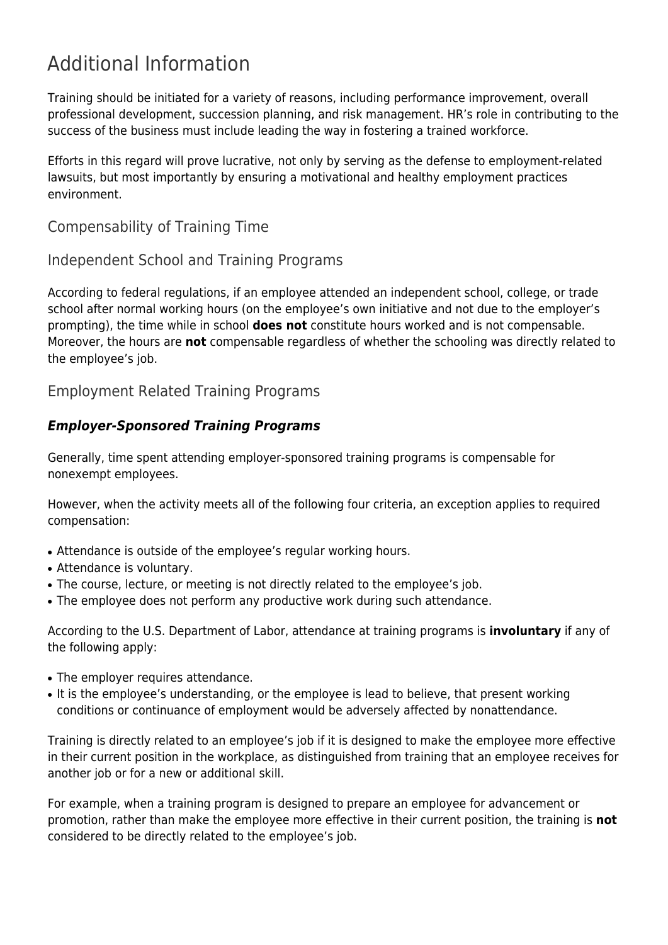## Additional Information

Training should be initiated for a variety of reasons, including performance improvement, overall professional development, succession planning, and risk management. HR's role in contributing to the success of the business must include leading the way in fostering a trained workforce.

Efforts in this regard will prove lucrative, not only by serving as the defense to employment-related lawsuits, but most importantly by ensuring a motivational and healthy employment practices environment.

Compensability of Training Time

Independent School and Training Programs

According to federal regulations, if an employee attended an independent school, college, or trade school after normal working hours (on the employee's own initiative and not due to the employer's prompting), the time while in school **does not** constitute hours worked and is not compensable. Moreover, the hours are **not** compensable regardless of whether the schooling was directly related to the employee's job.

Employment Related Training Programs

#### *Employer-Sponsored Training Programs*

Generally, time spent attending employer-sponsored training programs is compensable for nonexempt employees.

However, when the activity meets all of the following four criteria, an exception applies to required compensation:

- Attendance is outside of the employee's regular working hours.
- Attendance is voluntary.
- The course, lecture, or meeting is not directly related to the employee's job.
- The employee does not perform any productive work during such attendance.

According to the U.S. Department of Labor, attendance at training programs is **involuntary** if any of the following apply:

- The employer requires attendance.
- It is the employee's understanding, or the employee is lead to believe, that present working conditions or continuance of employment would be adversely affected by nonattendance.

Training is directly related to an employee's job if it is designed to make the employee more effective in their current position in the workplace, as distinguished from training that an employee receives for another job or for a new or additional skill.

For example, when a training program is designed to prepare an employee for advancement or promotion, rather than make the employee more effective in their current position, the training is **not** considered to be directly related to the employee's job.